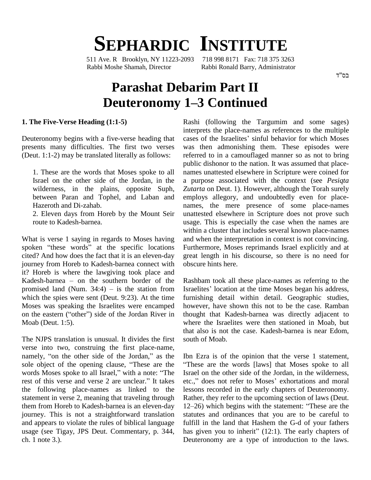# **SEPHARDIC INSTITUTE**

511 Ave. R Brooklyn, NY 11223-2093 718 998 8171 Fax: 718 375 3263 Rabbi Moshe Shamah, Director Rabbi Ronald Barry, Administrator

# **Parashat Debarim Part II Deuteronomy <sup>1</sup>ñ<sup>3</sup> Continued**

#### **1. The Five-Verse Heading (1:1-5)**

presents many difficulties. The first two verses (Deut. 1:1-2) may be translated literally as follows:

1. These are the words that Moses spoke to all Israel on the other side of the Jordan, in the wilderness, in the plains, opposite Suph, between Paran and Tophel, and Laban and Hazeroth and Di-zahab.

2. Eleven days from Horeb by the Mount Seir route to Kadesh-barnea.

What is verse 1 saying in regards to Moses having and w with<br>What is verse 1 saying in regards to Moses having and<br>spoken "these words" at the specific locations Furt cited? And how does the fact that it is an eleven-day journey from Horeb to Kadesh-barnea connect with<br>it? Horeb is where the lawgiving took place and<br>Kadesh-barnea – on the southern border of the Rashb it? Horeb is where the lawgiving took place and<br>Kadesh-barnea – on the southern border of the Rashbam to<br>promised land (Num. 34:4) – is the station from Israelites' l which the spies were sent (Deut. 9:23). At the time furnisl<br>Moses was speaking the Israelites were encamped howev<br>on the eastern ("other") side of the Jordan River in though Moses was speaking the Israelites were encamped Moab (Deut. 1:5).

The NJPS translation is unusual. It divides the first verse into two, construing the first place-name, The NJPS translation is unusual. It divides the first south verse into two, construing the first place-name, namely, "on the other side of the Jordan," as the Ibn I verse into two, construing the first place-name,<br>namely, "on the other side of the Jordan," as the Ibn I<br>sole object of the opening clause, "These are the "The namely, "on the other side of the Jordan," as the Ibn I<br>sole object of the opening clause, "These are the "The<br>words Moses spoke to all Israel," with a note: "The Israel words Moses spoke to all Israel," with a note: "The rest of this verse and verse 2 are unclear." It takes the following place-names as linked to the statement in verse 2, meaning that traveling through journey. This is not a straightforward translation and appears to violate the rules of biblical language ch. 1 note 3.).

Deuteronomy begins with a five-verse heading that cases of the Israelites' sinful behavior for which Moses Rashi (following the Targumim and some sages)<br>interprets the place-names as references to the multiple<br>cases of the Israelites' sinful behavior for which Moses interprets the place-names as references to the multiple was then admonishing them. These episodes were referred to in a camouflaged manner so as not to bring public dishonor to the nation. It was assumed that place names unattested elsewhere in Scripture were coined for a purpose associated with the context (see *Pesiqta Zutarta* on Deut. 1). However, although the Torah surely employs allegory, and undoubtedly even for place names, the mere presence of some place-names unattested elsewhere in Scripture does not prove such usage. This is especially the case when the names are within a cluster that includes several known place-names and when the interpretation in context is not convincing. Furthermore, Moses reprimands Israel explicitly and at great length in his discourse, so there is no need for obscure hints here.

> Rashbam took all these place-names as referring to the Israelites' location at the time Moses began his address, furnishing detail within detail. Geographic studies, however, have shown this not to be the case. Ramban thought that Kadesh-barnea was directly adjacent to where the Israelites were then stationed in Moab, but that also is not the case. Kadesh-barnea is near Edom, south of Moab.

them from Horeb to Kadesh-barnea is an eleven-day 12–26) which begins with the statement: "These are the usage (see Tigay, JPS Deut. Commentary, p. 344, has given you to inherit" (12:1). The early chapters of Ibn Ezra is of the opinion that the verse  $1$  statement, These are the words [laws] that Moses spoke to all Israel on the other side of the Jordan, in the wilderness, etc.," does not refer to Moses' exhortations and moral lessons recorded in the early chapters of Deuteronomy.<br>Rather, they refer to the upcoming section of laws (Deut.<br>12–26) which begins with the statement: "These are the Rather, they refer to the upcoming section of laws (Deut. statutes and ordinances that you are to be careful to fulfill in the land that Hashem the G-d of your fathers has given you to inherit" (12:1). The early chapters of fulfill in the land that Hashem the G-d of your fathers Deuteronomy are a type of introduction to the laws.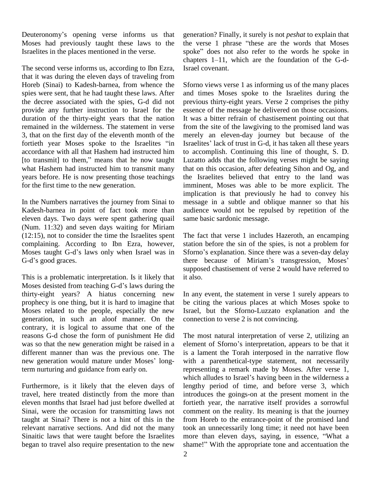Deuteronomy's opening verse informs us that Moses had previously taught these laws to the Israelites in the places mentioned in the verse.

The second verse informs us, according to Ibn Ezra, that it was during the eleven days of traveling from Horeb (Sinai) to Kadesh-barnea, from whence the spies were sent, that he had taught these laws. After the decree associated with the spies, G-d did not provide any further instruction to Israel for the duration of the thirty-eight years that the nation remained in the wilderness. The statement in verse 3, that on the first day of the eleventh month of the accordance with all that Hashem had instructed him [to transmit] to them," means that he now taught what Hashem had instructed him to transmit many years before. He is now presenting those teachings for the first time to the new generation.

In the Numbers narratives the journey from Sinai to Kadesh-barnea in point of fact took more than eleven days. Two days were spent gathering quail (Num. 11:32) and seven days waiting for Miriam (12:15), not to consider the time the Israelites spent Moses taught G-dí<sup>s</sup> laws only when Israel was in complaining. According to Ibn Ezra, however, st<br>Moses taught G-d's laws only when Israel was in S<br>G-d's good graces.

This is a problematic interpretation. Is it likely that Moses desisted from teaching G-d's laws during the thirty-eight years? A hiatus concerning new prophecy is one thing, but it is hard to imagine that Moses related to the people, especially the new generation, in such an aloof manner. On the contrary, it is logical to assume that one of the reasons G-d chose the form of punishment He did was so that the new generation might be raised in a different manner than was the previous one. The is a was so that the new generation might be raised in a<br>different manner than was the previous one. The<br>new generation would mature under Moses' longterm nurturing and guidance from early on.

Furthermore, is it likely that the eleven days of travel, here treated distinctly from the more than eleven months that Israel had just before dwelled at Sinai, were the occasion for transmitting laws not taught at Sinai? There is not a hint of this in the relevant narrative sections. And did not the many generation? Finally, it surely is not *peshat* to explain that the verse 1 phrase "these are the words that Moses" generation? Finally, it surely is not *peshat* to explain that<br>the verse 1 phrase "these are the words that Moses<br>spoke" does not also refer to the words he spoke in the verse 1 phrase "these are the words that Moses<br>spoke" does not also refer to the words he spoke in<br>chapters 1–11, which are the foundation of the G-d-Israel covenant.

fortieth year Moses spoke to the Israelites "in Israelites' lack of trust in G-d, it has taken all these years Sforno views verse 1 as informing us of the many places and times Moses spoke to the Israelites during the previous thirty-eight years. Verse 2 comprises the pithy essence of the message he delivered on those occasions. It was a bitter refrain of chastisement pointing out that from the site of the lawgiving to the promised land was merely an eleven-day journey but because of the from the site of the lawgiving to the promised land was<br>merely an eleven-day journey but because of the<br>Israelites' lack of trust in G-d, it has taken all these years to accomplish. Continuing this line of thought, S. D. Luzatto adds that the following verses might be saying that on this occasion, after defeating Sihon and Og, and the Israelites believed that entry to the land was imminent, Moses was able to be more explicit. The implication is that previously he had to convey his message in a subtle and oblique manner so that his audience would not be repulsed by repetition of the same basic sardonic message.

> The fact that verse 1 includes Hazeroth, an encamping station before the sin of the spies, is not a problem for The fact that verse 1 includes Hazeroth, an encamping<br>station before the sin of the spies, is not a problem for<br>Sforno's explanation. Since there was a seven-day delay station before the sin of the spies, is not a problem for<br>Sforno's explanation. Since there was a seven-day delay<br>there because of Miriam's transgression, Moses' supposed chastisement of verse 2 would have referred to it also.

In any event, the statement in verse 1 surely appears to be citing the various places at which Moses spoke to Israel, but the Sforno-Luzzato explanation and the connection to verse 2 is not convincing.

Sinaitic laws that were taught before the Israelites more than eleven days, saying, in essence, "What a began to travel also require presentation to the new shame!" With the appropriate tone and accentuation the The most natural interpretation of verse 2, utilizing an element of Sforno's interpretation, appears to be that it is a lament the Torah interposed in the narrative flow with a parenthetical-type statement, not necessarily representing a remark made by Moses. After verse 1, which alludes to Israel's having been in the wilderness a lengthy period of time, and before verse 3, which introduces the goings-on at the present moment in the fortieth year, the narrative itself provides a sorrowful comment on the reality. Its meaning is that the journey from Horeb to the entrance-point of the promised land<br>took an unnecessarily long time; it need not have been<br>more than eleven days, saying, in essence, "What a took an unnecessarily long time; it need not have been<br>more than eleven days, saying, in essence, "What a<br>shame!" With the appropriate tone and accentuation the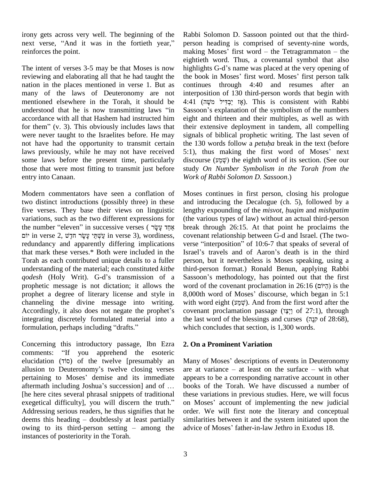irony gets across very well. The beginning of the Rabb irony gets across very well. The beginning of the Rabb<br>next verse, "And it was in the fortieth year," perso reinforces the point.

nation in the places mentioned in verse 1. But as many of the laws of Deuteronomy are not understood that he is now transmitting laws "in accordance with all that Hashem had instructed him for them"  $(v. 3)$ . This obviously includes laws that were never taught to the Israelites before. He may laws previously, while he may not have received those that were most fitting to transmit just before entry into Canaan.

Modern commentators have seen a conflation of two distinct introductions (possibly three) in these five verses. They base their views on linguistic length variations, such as the two different expressions for (the v<br>the number "eleven" in successive verses (אֲחֲד עָשֶׂר break variations, such as the two different expressions for (the the number "eleven" in successive verses ( אֲמָד עָשָׂר in verse 2, wordiness, שְׁשָׁר יִהַ $\dot{q}$  in verse 3), wordiness, redundancy and apparently differing implications Torah as each contributed unique details to a fuller perso understanding of the material; each constituted *kitbe* third-<br>*qodesh* (Holy Writ). G-d's transmission of a Sasse understanding of the material; each constituted *kitbe* prophetic message is not dictation; it allows the prophet a degree of literary license and style in 8,000t channeling the divine message into writing. with v<br>Accordingly, it also does not negate the prophet's covena Accordingly, it also does not negate the prophet's integrating discretely formulated material into a formulation, perhaps including "drafts."

Concerning this introductory passage, Ibn Ezra 2. Or Concerning this introductory passage, Ibn Ezra 2. Or<br>comments: "If you apprehend the esoteric Concerning this introductory passage, Ibn Ezra 2. On comments: "If you apprehend the esoteric elucidation (7i0) of the twelve [presumably an Many comments: "If you apprehend the esoteric<br>elucidation (70) of the twelve [presumably an<br>allusion to Deuteronomy's twelve closing verses elucidation (710) of the twelve [presumably an Many<br>allusion to Deuteronomy's twelve closing verses are a<br>pertaining to Moses' demise and its immediate appear allusion to Deuteronomy's twelve closing verses are at variance<br>pertaining to Moses' demise and its immediate appears to be a<br>aftermath including Joshua's succession] and of ... books of the [he here cites several phrasal snippets of traditional aftermath including Joshua's succession] and of ... book<br>[he here cites several phrasal snippets of traditional these<br>exegetical difficulty], you will discern the truth." on M Addressing serious readers, he thus signifies that he exegetical difficulty], you will discern the truth." on Meddressing serious readers, he thus signifies that he order.<br>deems this heading – doubtlessly at least partially similar deems this heading  $-$  doubtlessly at least partially similarities between it and the system initiated upor owing to its third-person setting  $-$  among the advice of Moses' father-in-law Jethro in Exodus 18. instances of posteriority in the Torah.

The intent of verses 3-5 may be that Moses is now highlights G-d's name was placed at the very opening of reviewing and elaborating all that he had taught the the book in Moses' first word. Moses' first person talk mentioned elsewhere in the Torah, it should be not have had the opportunity to transmit certain the 130 words follow a *petuha* break in the text (before some laws before the present time, particularly Rabbi Solomon D. Sassoon pointed out that the third person heading is comprised of seventy-nine words, Rabbi Solomon D. Sassoon pointed out that the third-<br>person heading is comprised of seventy-nine words,<br>making Moses' first word – the Tetragrammaton – the eightieth word. Thus, a covenantal symbol that also<br>highlights G-d's name was placed at the very opening of<br>the book in Moses' first word. Moses' first person talk making Moses<sup>7</sup> first word – the Tetragrammaton – the eightieth word. Thus, a covenantal symbol that also highlights G-d's name was placed at the very opening of continues through 4:40 and resumes after an interposition of 130 third-person words that begin with continues through 4:40 and resumes after an interposition of 130 third-person words that begin with 4:41 (אֶז יַבְדִּיל מֹשֶׁה). This is consistent with Rabbi Sassoon's explanation of the symbolism of the numbers eight and thirteen and their multiples, as well as with their extensive deployment in tandem, all compelling<br>signals of biblical prophetic writing. The last seven of<br>the 130 words follow a *petuha* break in the text (before signals of biblical prophetic writing. The last seven of signals of biblical prophetic writing. The last seven of<br>the 130 words follow a *petuha* break in the text (before<br>5:1), thus making the first word of Moses' next the 130 words follow a *petuha* break in the text (before 5:1), thus making the first word of Moses' next discourse ( $\psi$ שְׁמַע) the eighth word of its section. (See our study *On Number Symbolism in the Torah from the Work of Rabbi Solomon D. Sassoon*.)

that mark these verses.\* Both were included in the channeling the divine message into writing. with word eight  $(\mathcal{V}, \mathcal{V})$ . And from the first word after the integrating discretely formulated material into a Moses continues in first person, closing his prologue and introducing the Decalogue (ch. 5), followed by a Moses continues in first person, closing his prologue and introducing the Decalogue (ch. 5), followed by a lengthy expounding of the *misvot, huqim* and *mishpatim* (the various types of law) without an actual third-person break through 26:15. At that point he proclaims the covenant relationship between G-d and Israel. (The two-verse "interposition" of 10:6-7 that speaks of several of covenant relationship between G-d and Israel. (The two verse "interposition" of 10:6-7 that speaks of several of person, but it nevertheless is Moses speaking, using a third-person format.) Ronald Benun, applying Rabbi person, but it nevertheless is Moses speaking, using a third-person format.) Ronald Benun, applying Rabbi<br>Sassoon's methodology, has pointed out that the first third-person format.) Ronald Benun, applying Rabbi<br>Sassoon's methodology, has pointed out that the first<br>word of the covenant proclamation in 26:16 (הֵיּוֹם) is the Sassoon's methodology, has pointed out that the first word of the covenant proclamation in 26:16 ( $\overline{c}$  $\overline{c}$ ) is the 8,000th word of Moses' discourse, which began in 5:1 word of the covenant proclamation in  $26:16$  ( $\overline{5}$  $\overline{7}$ ) is the 8,000th word of Moses' discourse, which began in 5:1 with word eight (שְׁמַע). And from the first word after the covenant proclamation passage (שְׁצַוֹ of 27:1), through with word eight (שְׁמַּעַי). And from the first word after the covenant proclamation passage (אֲצָיָי of 27:1), through the last word of the blessings and curses (קָבָה of 28:68), which concludes that section, is 1,300 words.

## **2. On a Prominent Variation**

Many of Moses' descriptions of events in Deuteronomy are at variance  $-$  at least on the surface  $-$  with what appears to be a corresponding narrative account in other books of the Torah. We have discussed a number of these variations in previous studies. Here, we will focus books of the Torah. We have discussed a number of these variations in previous studies. Here, we will focus on Moses' account of implementing the new judicial order. We will first note the literary and conceptual advice of Moses<sup>í</sup> father-in-law Jethro in Exodus 18.similarities between it and the system initiated upon the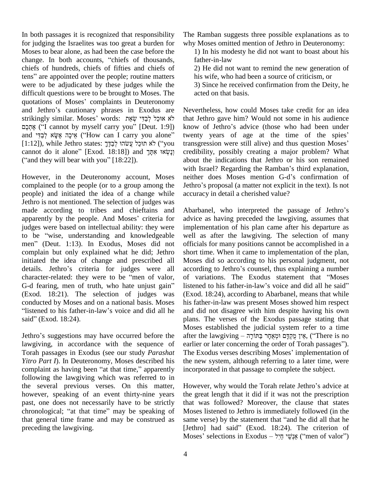In both passages it is recognized that responsibility for judging the Israelites was too great a burden for Moses to bear alone, as had been the case before the for judging the Israelites was too great a burden for<br>Moses to bear alone, as had been the case before the<br>change. In both accounts, "chiefs of thousands, chiefs of hundreds, chiefs of fifties and chiefs of change. In both accounts, "chiefs of thousands,<br>chiefs of hundreds, chiefs of fifties and chiefs of<br>tens" are appointed over the people; routine matters were to be adjudicated by these judges while the 3)<br>difficult questions were to be brought to Moses. The act<br>quotations of Moses' complaints in Deuteronomy difficult questions were to be brought to Moses. The difficult questions were to be brought to Moses. The<br>quotations of Moses' complaints in Deuteronomy<br>and Jethro's cautionary phrases in Exodus are Neve quotations of Moses' complaints in Deuteronomy<br>and Jethro's cautionary phrases in Exodus are Neve<br>strikingly similar. Moses' words: אוּכַל לְבַדִּי שָׂאֵת that. (Iethro's cautionary phrases in Exodus are Ne<br>haly similar. Moses' words: לֹא אוּכַל לְבַדִּי שְׂאֵת<br>tha ("I cannot by myself carry you" [Deut. 1:9]) kno strikingly similar. Moses' words: אוּכַל לְבַדִּי שְׂאֵת that l<br>אֶתְכֶם (''I cannot by myself carry you'' [Deut. 1:9]) know and "לְבַדִּי (''How can I carry you alone and אֵיכָה אֶשָּׂא אֶבָּה מֵאֵי ("How can I carry you alone" [1:12]), while Jethro states: [בְּדֶּךְ עֲשׂהוּ ק<br>מַנְשׂהוּ לְבַדֶּךְ ("you cannot do it alone" [Exod. 18:18]) and מַנָּשָׂאוּ אִחֲּךָ  $[1:12]$ ), while Jethro states: בְּבֻּךָּךְ אִימָּה אִתְּכָל ("you cannot do it alone" [Exod. 18:18]) and  $\gamma$ יִנְשְׂאוּ אִתְּךְ ("and they will bear with you" [18:22]).

complained to the people (or to a group among the people) and initiated the idea of a change while Jethro is not mentioned. The selection of judges was made according to tribes and chieftains and Jethro is not mentioned. The selection of judges was<br>made according to tribes and chieftains and Ab<br>apparently by the people. And Moses' criteria for adv judges were based on intellectual ability: they were imple apparently by the people. And Moses' criteria for advic<br>judges were based on intellectual ability: they were imple<br>to be "wise, understanding and knowledgeable well judges were based on intellectual ability: they were<br>to be "wise, understanding and knowledgeable we<br>men" (Deut. 1:13). In Exodus, Moses did not of complain but only explained what he did; Jethro initiated the idea of change and prescribed all complain but only explained what he did; Jethro sh<br>initiated the idea of change and prescribed all M<br>details. Jethro's criteria for judges were all ac initiated the idea of change and prescribed all M<br>details. Jethro's criteria for judges were all a<br>character-related: they were to be "men of valor, of details. Jethro's criteria for judges were all accor<br>character-related: they were to be "men of valor, of v<br>G-d fearing, men of truth, who hate unjust gain" listen (Exod. 18:21). The selection of judges was (Exoconducted by Moses and on a national basis. Moses his father-in-law<sup>3</sup>s voice and did all he and of conducted by Moses and on a national basis. Moses "listened to his father-in-law's voice and did all he said" (Exod. 18:24).

Jethroí<sup>s</sup> suggestions may have occurred before the *Yitro Part I*). In Deuteronomy, Moses described his the n Torah passages in Exodus (see our study *Parashat* The E<br>*Yitro Part I*). In Deuteronomy, Moses described his the ne<br>complaint as having been "at that time," apparently incorp following the lawgiving which was referred to in the several previous verses. On this matter, however, speaking of an event thirty-nine years the past, one does not necessarily have to be strictly that chronological; "at that time" may be speaking of Mos past, one does not necessarily have to be strictly that general time frame and may be construed as preceding the lawgiving.

The Ramban suggests three possible explanations as to why Moses omitted mention of Jethro in Deuteronomy:

1) In his modesty he did notwant to boast about his father-in-law

2) He did not want to remind the new generation of his wife, who had been a source of criticism, or

3) Since he received confirmation from the Deity, he acted on that basis.

אֶתְכָם ("I cannot by myself carry you" [Deut. 1:9]) know of Jethro's advice (those who had been under and "אֲלְבָּף ("How can I carry you alone" twenty years of age at the time of the spies sysically states: [1:12]), whi However, in the Deuteronomy account, Moses neither does Moses mention G-d's confirmation of Nevertheless, how could Moses take credit for an idea<br>that Jethro gave him? Would not some in his audience<br>know of Jethro's advice (those who had been under that Jethro gave him? Would not some in his audience<br>know of Jethro's advice (those who had been under<br>twenty years of age at the time of the spies' know of Jethro's advice (those who had been under credibility, possibly creating a major problem? What about the indications that Jethro or his son remained credibility, possibly creating a major problem? What<br>about the indications that Jethro or his son remained<br>with Israel? Regarding the Ramban's third explanation, about the indications that Jethro or his son remained<br>with Israel? Regarding the Ramban's third explanation,<br>neither does Moses mention G-d's confirmation of with Israel? Regarding the Ramban's third explanation, neither does Moses mention G-d's confirmation of Jethro's proposal (a matter not explicit in the text). Is not accuracy in detail a cherished value?

lawgiving, in accordance with the sequence of earlier or later concerning the order of Torah passages"). Torah passages in Exodus (see our study *Parashat* Abarbanel, who interpreted the passage of Jethro's advice as having preceded the lawgiving, assumes that implementation of his plan came after his departure as well as after the lawgiving. The selection of many officials for many positions cannot be accomplished in a short time. When it came to implementation of the plan, Moses did so according to his personal judgment, not short time. When it came to implementation of the plan,<br>Moses did so according to his personal judgment, not<br>according to Jethro's counsel, thus explaining a number Moses did so according to his personal judgment, not<br>according to Jethro's counsel, thus explaining a number<br>of variations. The Exodus statement that "Moses according to Jethro's counsel, thus explaining a number<br>of variations. The Exodus statement that "Moses<br>listened to his father-in-law's voice and did all he said" (Exod. 18:24), according to Abarbanel, means that while his father-in-law was present Moses showed him respect and did not disagree with him despite having his own plans. The verses of the Exodus passage stating that Moses established the judicial system refer to a time plans. The verses of the Exodus passage stating that<br>Moses established the judicial system refer to a time<br>אֲין מֻקְּדָּם וּמְאֻחָּר בַּתּוֹרָה ('There is no Moses established the judicial system refer to a time<br>after the lawgiving – אֵין מֻקִדָּם וּמְאֵחָר בַּחוֹרָה, ("There is no<br>earlier or later concerning the order of Torah passages"). after the lawgiving – אֲיֹן מֻקְדָּם וּמְאֻחָָר בַּתּוֹרָה, ("There is no<br>earlier or later concerning the order of Torah passages").<br>The Exodus verses describing Moses' implementation of the new system, although referring to a later time, were incorporated in that passage to complete the subject.

> However, why would the Torah relate Jethro's advice at the great length that it did if it was not the prescription that was followed? Moreover, the clause that states Moses listened to Jethro is immediately followed (in the same verse) by the statement that "and he did all that he Moses listened to Jethro is immediately followed (in the [Jethro] had said" (Exod. 18:24). The criterion of same verse) by the statement that "and he did all that he [Jethro] had said" (Exod. 18:24). The criterion of Moses' selections in Exodus – "אַנָשׁי היל") ("men of valori")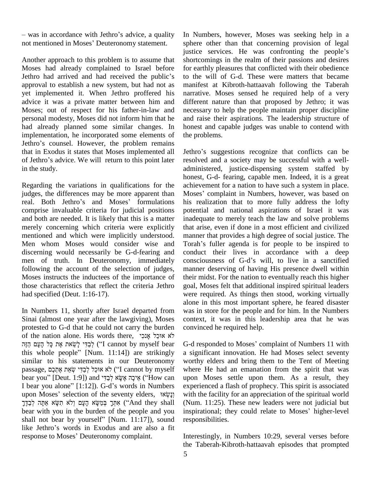was in accordance with Jethro's advice, a quality In Nu – was in accordance with Jethro's advice, a quality<br>not mentioned in Moses' Deuteronomy statement.

Another approach to this problem is to assume that<br>
Moses had already complained to Israel before for explicit Jethro had arrived and had received the public's to t Moses had already complained to Israel before approval to establish a new system, but had not as yet implemented it. When Jethro proffered his advice it was a private matter between him and Moses; out of respect for his father-in-law and personal modesty, Moses did not inform him that he had already planned some similar changes. In implementation, he incorporated some elements of had already planned some similar changes. In honor<br>implementation, he incorporated some elements of the p<br>Jethro's counsel. However, the problem remains that in Exodus it states that Moses implemented all Jethro's counsel. However, the problem remains<br>that in Exodus it states that Moses implemented all<br>of Jethro's advice. We will return to this point later in the study.

Regarding the variations in qualifications for the judges, the differences may be more apparent than Moses Regarding the variations in qualifications for the achique achique state in the differences may be more apparent than Moses.<br>The Jethro's and Moses' formulations his comprise invaluable criteria for judicial positions and both are needed. It is likely that this is a matter merely concerning which criteria were explicitly mentioned and which were implicitly understood. Men whom Moses would consider wise and discerning would necessarily be G-d-fearing and following the account of the selection of judges, Moses instructs the inductees of the importance of those characteristics that reflect the criteria Jethro had specified (Deut. 1:16-17).

In Numbers 11, shortly after Israel departed from Sinai (almost one year after the lawgiving), Moses protested to G-d that he could not carry the burden convir Sinai (almost one year after the lawgiving), Moses contend to G-d that he could not carry the burden conv of the nation alone. His words there, אוּכַל אָנִכִי ested to G-d that he could not carry the burden<br>he nation alone. His words there, אוּכַל אָנִכִּי אֶנָק אֹי<br>קֹבַדִּי לְשֵׂאת אֶת כָּל הָעָם (I cannot by myself bear G-d'  $\tilde{\text{C}}$ f the nation alone. His words there, אוּכַל אָנִכִי "אוּכַל אָנִכָּי"<br>לְבַדִּי לָשֵׂאת אֶת כָּל הָעָם הַזֶּה ('I cannot by myself bear  $\,$  G-d re this whole people'' [Num. 11:14]) are strikingly  $\,$  a sign similar to his statements in our Deuteronomy this whole people" [Num. 11:14]) are strikingly<br>similar to his statements in our Deuteronomy<br>passage, אוּכַל לְבַדִּי שָׂאת אָתְכָם ("I cannot by myself similar to his statements in our Deuteronomy worth<br>passage, פְּרֵל אֲזִכָּל לְבַדִּי שְׂאֵת אֶתְכָם (''I cannot by myself where<br>bear you'' [Deut. 1:9]) and אֲיכָה אֶשָּׂא לְבַדִּי ('How can upon passage, אוּכַל לְבַדִּי שְׂאֵת אֶתְכֶם ("I cannot by myself – whe bear you" [Deut. 1:9]) and לֹאָאוּל אֲרָבָ<br>אֵיכָה אֶשֶׂא לְבַדִּי and אֲרָבָה הּוֹי ("How can – upor) אֵיכָה אֶשֶׂא לְבַדִּי alone" [1:12]). G-d's words i bear you" [Deut. 1:9]) and אֵיכָה אֶשֶׂא לְבַדִּי ("How can<br>I bear you alone" [1:12]). G-d's words in Numbers ex<br>upon Moses' selection of the seventy elders, עֲשָׂאוֹ Fear you alone" [1:12]). G-d's words in Numbers<br>
upon Moses' selection of the seventy elders, אֲכָּק ְיֹא wi<br>אֶתְּךָ בְּמֵשָׂא הָעָם וְלֹא תִשְׂא אֲתָּה לְבַדֶּךָ ("And they shall (N אִתְּךָ בְּמַשָּׂא הָעָם וְלֹא תִשָּׂא אַתָּה לְבַדֶּךְ ("And they shall (Num.<br>bear with you in the burden of the people and you inspira<br>shall not bear by yourself" [Num. 11:17]), sound respor bear with you in the burden of the people and you in shall not bear by yourself" [Num. 11:17]), sound relike Jethro's words in Exodus and are also a fit shall not bear by yourself" [Num. 11:17]), soulike Jethro's words in Exodus and are also a response to Moses' Deuteronomy complaint.

In Numbers, however, Moses was seeking help in a sphere other than that concerning provision of legal justice services. He was confronting the people's shortcomings in the realm of their passions and desires for earthly pleasures that conflicted with their obedience to the will of G-d. These were matters that became manifest at Kibroth-hattaavah following the Taberah narrative. Moses sensed he required help of a very different nature than that proposed by Jethro; it was necessary to help the people maintain proper discipline and raise their aspirations. The leadership structure of honest and capable judges was unable to contend with the problems.

men of truth. In Deuteronomy, immediately consciousness of G-d's will, to live in a sanctified Jethroí<sup>s</sup> suggestions recognize that conflicts can be resolved and a society may be successful with a well administered, justice-dispensing system staffed by honest, G-d- fearing, capable men. Indeed, it is a great Moses<sup>í</sup> complaint in Numbers, however, was based on achievement for a nation to have such a system in place. his realization that to more fully address the lofty potential and national aspirations of Israel it was inadequate to merely teach the law and solve problems that arise, even if done in a most efficient and civilized Torahí<sup>s</sup> fuller agenda is for people to be inspired to manner that provides a high degree of social justice. The conduct their lives in accordance with a deep Torah's fuller agenda is for people to be inspired to manner deserving of having His presence dwell within their midst. For the nation to eventually reach this higher goal, Moses felt that additional inspired spiritual leaders were required. As things then stood, working virtually alone in this most important sphere, he feared disaster was in store for the people and for him. In the Numbers context, it was in this leadership area that he was convinced he required help.

bear with you in the burden of the people and you inspirational; they could relate to Moses' higher-level G-d responded to Moses' complaint of Numbers 11 with a significant innovation. He had Moses select seventy worthy elders and bring them to the Tent of Meeting where He had an emanation from the spirit that was upon Moses settle upon them. As a result, they experienced a flash of prophecy. This spirit is associated with the facility for an appreciation of the spiritual world<br>(Num. 11:25). These new leaders were not judicial but<br>inspirational; they could relate to Moses' higher-level (Num. 11:25). These new leaders were not judicial but responsibilities.

> Interestingly, in Numbers 10:29, several verses before the Taberah-Kibroth-hattaavah episodes that prompted